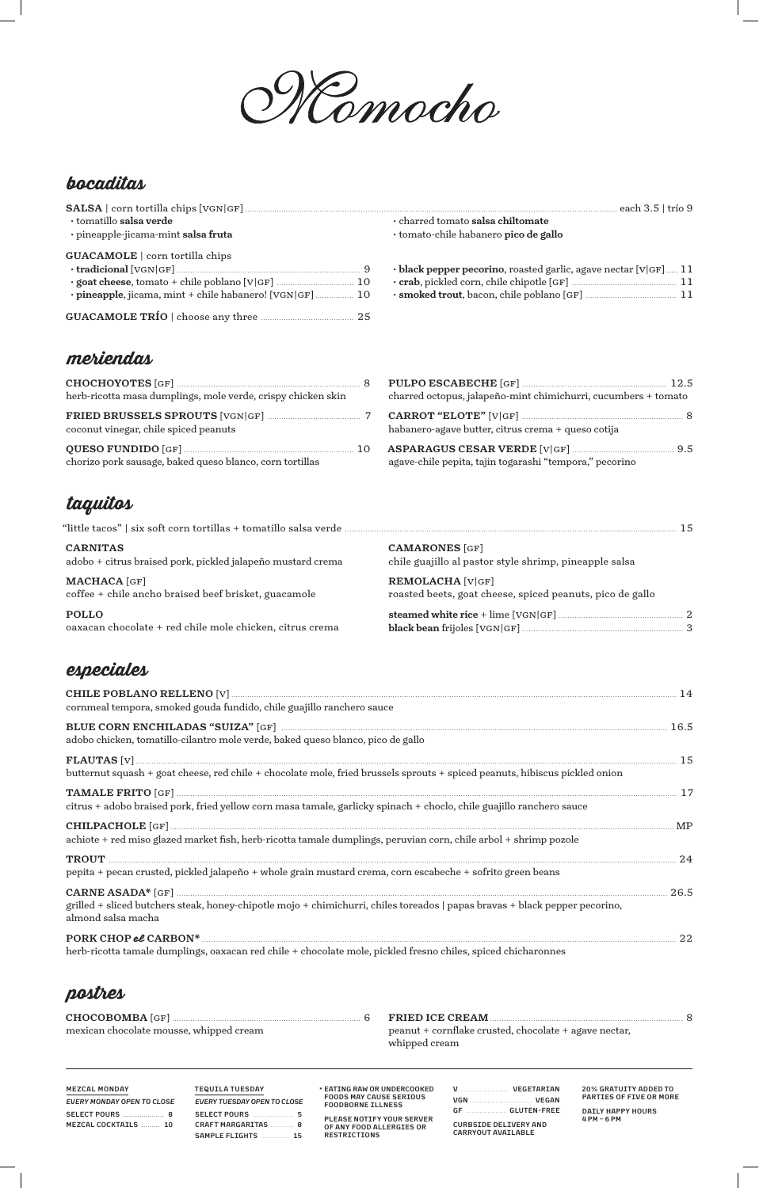

# bocaditas

| $\cdot$ tomatillo salsa verde                           | · charred tomato salsa chiltomate                                      |
|---------------------------------------------------------|------------------------------------------------------------------------|
| · pineapple-jicama-mint salsa fruta                     | · tomato-chile habanero pico de gallo                                  |
| <b>GUACAMOLE</b>   corn tortilla chips                  |                                                                        |
|                                                         | $\cdot$ black pepper pecorino, roasted garlic, agave nectar [V GF]  11 |
|                                                         |                                                                        |
| · pineapple, jicama, mint + chile habanero! [VGN GF] 10 |                                                                        |
|                                                         |                                                                        |

### meriendas

| herb-ricotta masa dumplings, mole verde, crispy chicken skin |  |
|--------------------------------------------------------------|--|
| coconut vinegar, chile spiced peanuts                        |  |
| chorizo pork sausage, baked queso blanco, corn tortillas     |  |

| charred octopus, jalapeño-mint chimichurri, cucumbers + tomato |  |
|----------------------------------------------------------------|--|
| habanero-agave butter, citrus crema + queso cotija             |  |
| agave-chile pepita, tajin togarashi "tempora," pecorino        |  |

# taquitos

| <b>CARNITAS</b>                                             | <b>CAMARONES</b> [GF]                                     |
|-------------------------------------------------------------|-----------------------------------------------------------|
| adobo + citrus braised pork, pickled jalapeño mustard crema | chile guajillo al pastor style shrimp, pineapple salsa    |
| <b>MACHACA</b> [GF]                                         | <b>REMOLACHA [V GF]</b>                                   |
| coffee + chile ancho braised beef brisket, guacamole        | roasted beets, goat cheese, spiced peanuts, pico de gallo |
| <b>POLLO</b>                                                |                                                           |
| oaxacan chocolate + red chile mole chicken, citrus crema    |                                                           |

# especiales

| cornmeal tempora, smoked gouda fundido, chile guajillo ranchero sauce                                                                                                                             |  |
|---------------------------------------------------------------------------------------------------------------------------------------------------------------------------------------------------|--|
| BLUE CORN ENCHILADAS "SUIZA" [GF] MARIE LA MARIE LA MARIE LA MARIE LA MARIE LA MARIE LA MARIE LA MARIE LA MARI<br>adobo chicken, tomatillo-cilantro mole verde, baked queso blanco, pico de gallo |  |
|                                                                                                                                                                                                   |  |
| butternut squash + goat cheese, red chile + chocolate mole, fried brussels sprouts + spiced peanuts, hibiscus pickled onion                                                                       |  |
| citrus + adobo braised pork, fried yellow corn masa tamale, garlicky spinach + choclo, chile guajillo ranchero sauce                                                                              |  |
|                                                                                                                                                                                                   |  |
| achiote + red miso glazed market fish, herb-ricotta tamale dumplings, peruvian corn, chile arbol + shrimp pozole                                                                                  |  |
|                                                                                                                                                                                                   |  |
| pepita + pecan crusted, pickled jalapeño + whole grain mustard crema, corn escabeche + sofrito green beans                                                                                        |  |
|                                                                                                                                                                                                   |  |

grilled + sliced butchers steak, honey-chipotle mojo + chimichurri, chiles toreados | papas bravas + black pepper pecorino, almond salsa macha

| PORK CHOP el CARBON*                                                                                          |  |
|---------------------------------------------------------------------------------------------------------------|--|
| herb-ricotta tamale dumplings, oaxacan red chile + chocolate mole, pickled fresno chiles, spiced chicharonnes |  |

# postres

| mexican chocolate mousse, whipped cream | peanut + cornflake crusted, chocolate + agave nectar, |  |
|-----------------------------------------|-------------------------------------------------------|--|
|                                         | whipped cream                                         |  |

| <b>MEZCAL MONDAY</b><br>EVERY MONDAY OPEN TO CLOSE | <b>TEQUILA TUESDAY</b><br>EVERY TUESDAY OPEN TO CLOSE                 | * EATING RAW OR UNDERCOOKED<br><b>FOODS MAY CAUSE SERIOUS</b><br><b>FOODBORNE ILLNESS</b> | VEGETARIAN<br>$\mathbf{v}$<br><b>VEGAN</b><br><b>VGN</b>                                 | 20% GRATUITY ADDED TO<br>PARTIES OF FIVE OR MORE |
|----------------------------------------------------|-----------------------------------------------------------------------|-------------------------------------------------------------------------------------------|------------------------------------------------------------------------------------------|--------------------------------------------------|
| MEZCAL COCKTAILS  10                               | SELECT POURS 5<br><b>CRAFT MARGARITAS</b><br>. 8<br>SAMPLE FLIGHTS 15 | PLEASE NOTIFY YOUR SERVER<br>OF ANY FOOD ALLERGIES OR<br>RESTRICTIONS                     | $GF$ and $F$<br><b>GLUTEN-FREE</b><br><b>CURBSIDE DELIVERY AND</b><br>CARRYOUT AVAILABLE | DAILY HAPPY HOURS<br>$4PM - 6PM$                 |